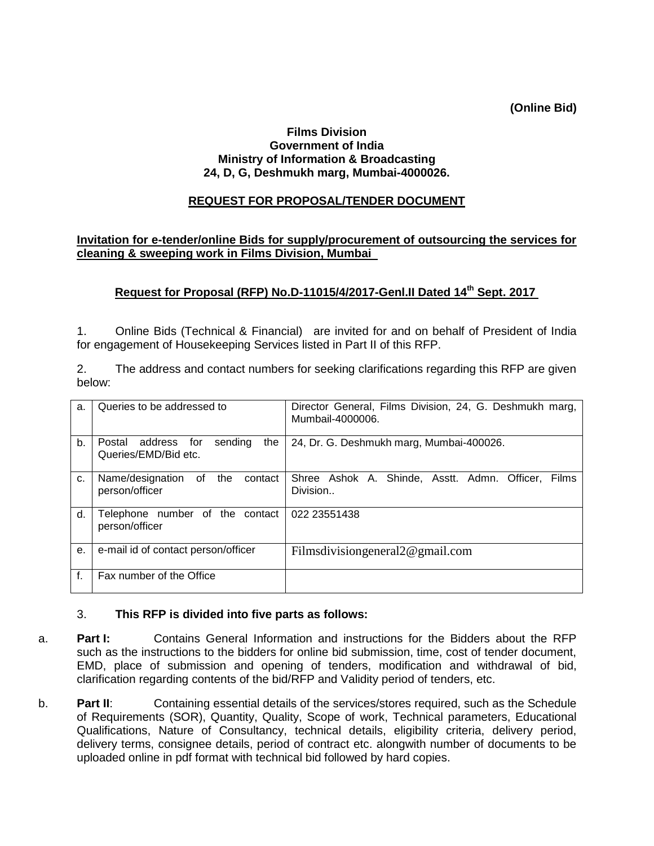**(Online Bid)**

#### **Films Division Government of India Ministry of Information & Broadcasting 24, D, G, Deshmukh marg, Mumbai-4000026.**

### **REQUEST FOR PROPOSAL/TENDER DOCUMENT**

#### **Invitation for e-tender/online Bids for supply/procurement of outsourcing the services for cleaning & sweeping work in Films Division, Mumbai**

### **Request for Proposal (RFP) No.D-11015/4/2017-Genl.II Dated 14th Sept. 2017**

1. Online Bids (Technical & Financial) are invited for and on behalf of President of India for engagement of Housekeeping Services listed in Part II of this RFP.

2. The address and contact numbers for seeking clarifications regarding this RFP are given below:

| a. | Queries to be addressed to                                         | Director General, Films Division, 24, G. Deshmukh marg,<br>Mumbail-4000006. |
|----|--------------------------------------------------------------------|-----------------------------------------------------------------------------|
| b. | sending<br>Postal<br>address<br>for<br>the<br>Queries/EMD/Bid etc. | 24, Dr. G. Deshmukh marg, Mumbai-400026.                                    |
| c. | Name/designation<br>of<br>the<br>contact<br>person/officer         | Shree Ashok A. Shinde, Asstt. Admn. Officer,<br><b>Films</b><br>Division    |
| d. | Telephone number of the contact<br>person/officer                  | 022 23551438                                                                |
| е. | e-mail id of contact person/officer                                | Films division general $2@$ gmail.com                                       |
| f. | Fax number of the Office                                           |                                                                             |

#### 3. **This RFP is divided into five parts as follows:**

- a. **Part I:** Contains General Information and instructions for the Bidders about the RFP such as the instructions to the bidders for online bid submission, time, cost of tender document, EMD, place of submission and opening of tenders, modification and withdrawal of bid, clarification regarding contents of the bid/RFP and Validity period of tenders, etc.
- b. **Part II**: Containing essential details of the services/stores required, such as the Schedule of Requirements (SOR), Quantity, Quality, Scope of work, Technical parameters, Educational Qualifications, Nature of Consultancy, technical details, eligibility criteria, delivery period, delivery terms, consignee details, period of contract etc. alongwith number of documents to be uploaded online in pdf format with technical bid followed by hard copies.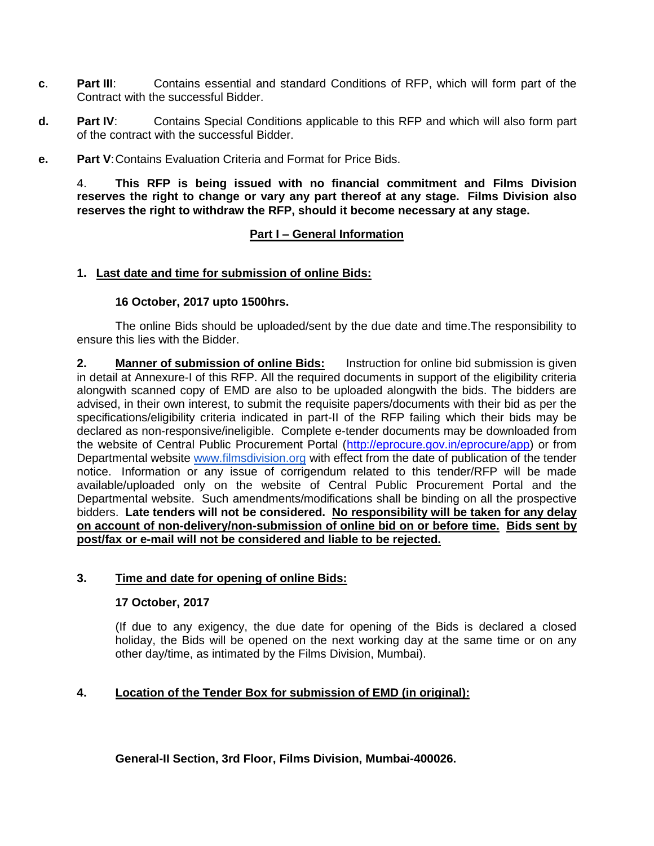- **c**. **Part III**: Contains essential and standard Conditions of RFP, which will form part of the Contract with the successful Bidder.
- **d. Part IV**: Contains Special Conditions applicable to this RFP and which will also form part of the contract with the successful Bidder.
- **e. Part V**:Contains Evaluation Criteria and Format for Price Bids.

4. **This RFP is being issued with no financial commitment and Films Division reserves the right to change or vary any part thereof at any stage. Films Division also reserves the right to withdraw the RFP, should it become necessary at any stage.**

### **Part I – General Information**

### **1. Last date and time for submission of online Bids:**

### **16 October, 2017 upto 1500hrs.**

The online Bids should be uploaded/sent by the due date and time.The responsibility to ensure this lies with the Bidder.

**2. Manner of submission of online Bids:** Instruction for online bid submission is given in detail at Annexure-I of this RFP. All the required documents in support of the eligibility criteria alongwith scanned copy of EMD are also to be uploaded alongwith the bids. The bidders are advised, in their own interest, to submit the requisite papers/documents with their bid as per the specifications/eligibility criteria indicated in part-II of the RFP failing which their bids may be declared as non-responsive/ineligible. Complete e-tender documents may be downloaded from the website of Central Public Procurement Portal [\(http://eprocure.gov.in/eprocure/app\)](http://eprocure.gov.in/eprocure/app) or from Departmental website [www.filmsdivision.org](http://www.filmsdivision.org/) with effect from the date of publication of the tender notice. Information or any issue of corrigendum related to this tender/RFP will be made available/uploaded only on the website of Central Public Procurement Portal and the Departmental website. Such amendments/modifications shall be binding on all the prospective bidders. **Late tenders will not be considered. No responsibility will be taken for any delay on account of non-delivery/non-submission of online bid on or before time. Bids sent by post/fax or e-mail will not be considered and liable to be rejected.**

### **3. Time and date for opening of online Bids:**

### **17 October, 2017**

(If due to any exigency, the due date for opening of the Bids is declared a closed holiday, the Bids will be opened on the next working day at the same time or on any other day/time, as intimated by the Films Division, Mumbai).

## **4. Location of the Tender Box for submission of EMD (in original):**

**General-II Section, 3rd Floor, Films Division, Mumbai-400026.**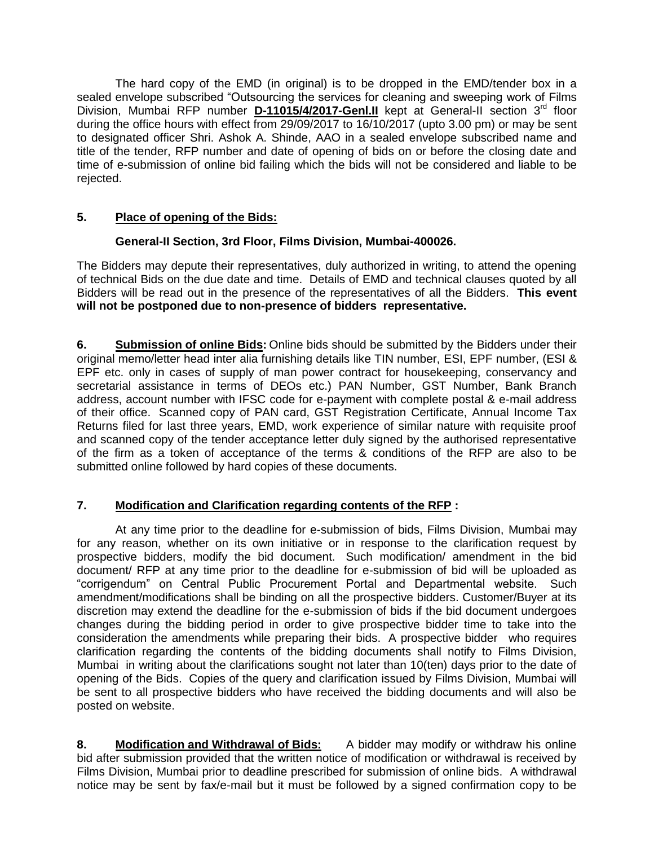The hard copy of the EMD (in original) is to be dropped in the EMD/tender box in a sealed envelope subscribed "Outsourcing the services for cleaning and sweeping work of Films Division, Mumbai RFP number **D-11015/4/2017-Genl.II** kept at General-II section 3<sup>rd</sup> floor during the office hours with effect from 29/09/2017 to 16/10/2017 (upto 3.00 pm) or may be sent to designated officer Shri. Ashok A. Shinde, AAO in a sealed envelope subscribed name and title of the tender, RFP number and date of opening of bids on or before the closing date and time of e-submission of online bid failing which the bids will not be considered and liable to be rejected.

# **5. Place of opening of the Bids:**

## **General-II Section, 3rd Floor, Films Division, Mumbai-400026.**

The Bidders may depute their representatives, duly authorized in writing, to attend the opening of technical Bids on the due date and time. Details of EMD and technical clauses quoted by all Bidders will be read out in the presence of the representatives of all the Bidders. **This event will not be postponed due to non-presence of bidders representative.**

**6. Submission of online Bids:** Online bids should be submitted by the Bidders under their original memo/letter head inter alia furnishing details like TIN number, ESI, EPF number, (ESI & EPF etc. only in cases of supply of man power contract for housekeeping, conservancy and secretarial assistance in terms of DEOs etc.) PAN Number, GST Number, Bank Branch address, account number with IFSC code for e-payment with complete postal & e-mail address of their office. Scanned copy of PAN card, GST Registration Certificate, Annual Income Tax Returns filed for last three years, EMD, work experience of similar nature with requisite proof and scanned copy of the tender acceptance letter duly signed by the authorised representative of the firm as a token of acceptance of the terms & conditions of the RFP are also to be submitted online followed by hard copies of these documents.

## **7. Modification and Clarification regarding contents of the RFP :**

At any time prior to the deadline for e-submission of bids, Films Division, Mumbai may for any reason, whether on its own initiative or in response to the clarification request by prospective bidders, modify the bid document. Such modification/ amendment in the bid document/ RFP at any time prior to the deadline for e-submission of bid will be uploaded as "corrigendum" on Central Public Procurement Portal and Departmental website. Such amendment/modifications shall be binding on all the prospective bidders. Customer/Buyer at its discretion may extend the deadline for the e-submission of bids if the bid document undergoes changes during the bidding period in order to give prospective bidder time to take into the consideration the amendments while preparing their bids. A prospective bidder who requires clarification regarding the contents of the bidding documents shall notify to Films Division, Mumbai in writing about the clarifications sought not later than 10(ten) days prior to the date of opening of the Bids. Copies of the query and clarification issued by Films Division, Mumbai will be sent to all prospective bidders who have received the bidding documents and will also be posted on website.

**8. Modification and Withdrawal of Bids:** A bidder may modify or withdraw his online bid after submission provided that the written notice of modification or withdrawal is received by Films Division, Mumbai prior to deadline prescribed for submission of online bids. A withdrawal notice may be sent by fax/e-mail but it must be followed by a signed confirmation copy to be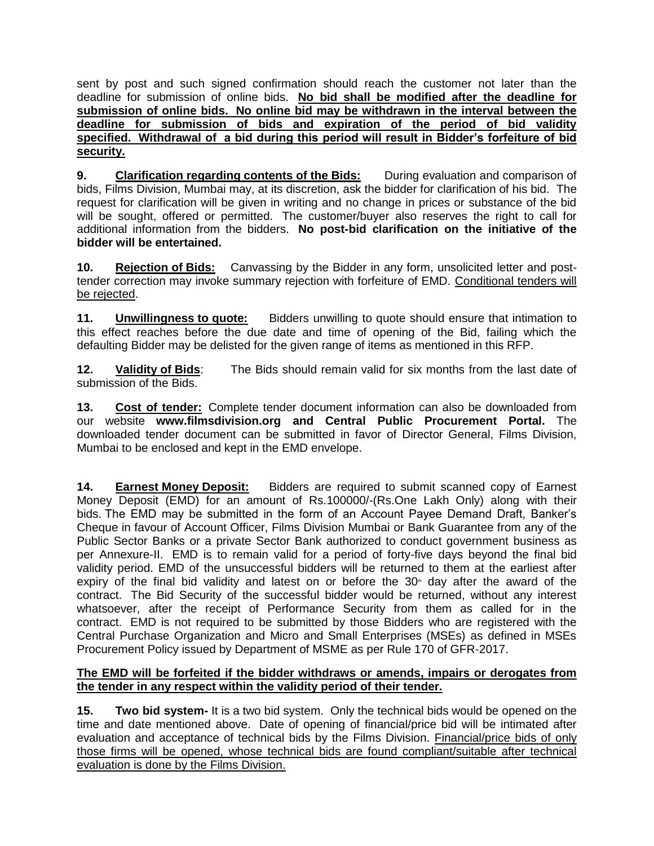sent by post and such signed confirmation should reach the customer not later than the deadline for submission of online bids. **No bid shall be modified after the deadline for submission of online bids. No online bid may be withdrawn in the interval between the deadline for submission of bids and expiration of the period of bid validity specified. Withdrawal of a bid during this period will result in Bidder's forfeiture of bid security.**

**9. Clarification regarding contents of the Bids:** During evaluation and comparison of bids, Films Division, Mumbai may, at its discretion, ask the bidder for clarification of his bid. The request for clarification will be given in writing and no change in prices or substance of the bid will be sought, offered or permitted. The customer/buyer also reserves the right to call for additional information from the bidders. **No post-bid clarification on the initiative of the bidder will be entertained.**

**10. Rejection of Bids:** Canvassing by the Bidder in any form, unsolicited letter and posttender correction may invoke summary rejection with forfeiture of EMD. Conditional tenders will be rejected.

**11. Unwillingness to quote:** Bidders unwilling to quote should ensure that intimation to this effect reaches before the due date and time of opening of the Bid, failing which the defaulting Bidder may be delisted for the given range of items as mentioned in this RFP.

**12. Validity of Bids**: The Bids should remain valid for six months from the last date of submission of the Bids.

**13. Cost of tender:** Complete tender document information can also be downloaded from our website **www.filmsdivision.org and Central Public Procurement Portal.** The downloaded tender document can be submitted in favor of Director General, Films Division, Mumbai to be enclosed and kept in the EMD envelope.

**14. Earnest Money Deposit:** Bidders are required to submit scanned copy of Earnest Money Deposit (EMD) for an amount of Rs.100000/-(Rs.One Lakh Only) along with their bids. The EMD may be submitted in the form of an Account Payee Demand Draft, Banker's Cheque in favour of Account Officer, Films Division Mumbai or Bank Guarantee from any of the Public Sector Banks or a private Sector Bank authorized to conduct government business as per Annexure-II. EMD is to remain valid for a period of forty-five days beyond the final bid validity period. EMD of the unsuccessful bidders will be returned to them at the earliest after expiry of the final bid validity and latest on or before the  $30<sup>th</sup>$  day after the award of the contract. The Bid Security of the successful bidder would be returned, without any interest whatsoever, after the receipt of Performance Security from them as called for in the contract. EMD is not required to be submitted by those Bidders who are registered with the Central Purchase Organization and Micro and Small Enterprises (MSEs) as defined in MSEs Procurement Policy issued by Department of MSME as per Rule 170 of GFR-2017.

### **The EMD will be forfeited if the bidder withdraws or amends, impairs or derogates from the tender in any respect within the validity period of their tender.**

**15. Two bid system-** It is a two bid system. Only the technical bids would be opened on the time and date mentioned above. Date of opening of financial/price bid will be intimated after evaluation and acceptance of technical bids by the Films Division. Financial/price bids of only those firms will be opened, whose technical bids are found compliant/suitable after technical evaluation is done by the Films Division.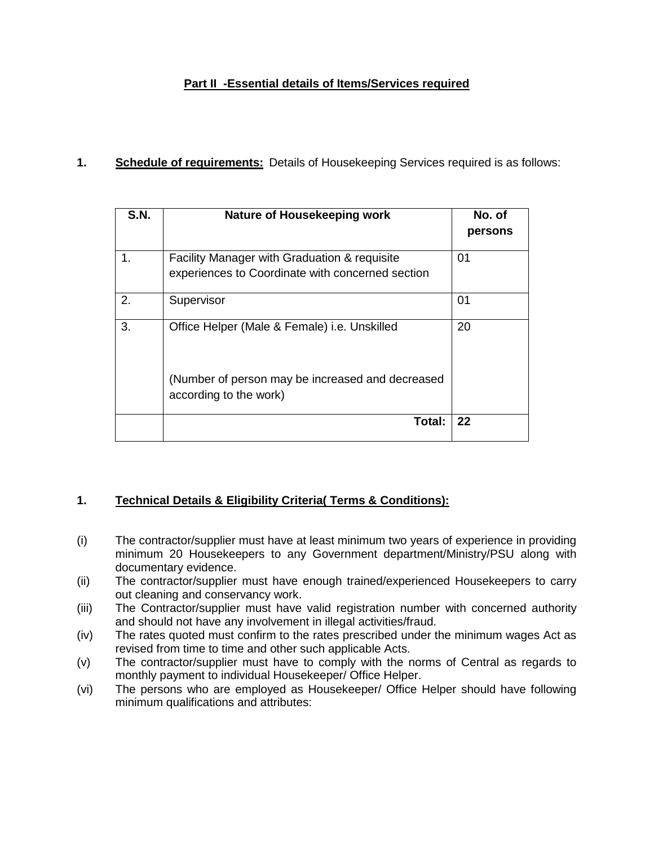# **Part II -Essential details of Items/Services required**

## **1. Schedule of requirements:** Details of Housekeeping Services required is as follows:

| S.N. | Nature of Housekeeping work                                                                      | No. of<br>persons |
|------|--------------------------------------------------------------------------------------------------|-------------------|
| 1.   | Facility Manager with Graduation & requisite<br>experiences to Coordinate with concerned section | 01                |
| 2.   | Supervisor                                                                                       | 01                |
| 3.   | Office Helper (Male & Female) i.e. Unskilled                                                     | 20                |
|      | (Number of person may be increased and decreased<br>according to the work)                       |                   |
|      | Total:                                                                                           | 22                |

## **1. Technical Details & Eligibility Criteria( Terms & Conditions):**

- (i) The contractor/supplier must have at least minimum two years of experience in providing minimum 20 Housekeepers to any Government department/Ministry/PSU along with documentary evidence.
- (ii) The contractor/supplier must have enough trained/experienced Housekeepers to carry out cleaning and conservancy work.
- (iii) The Contractor/supplier must have valid registration number with concerned authority and should not have any involvement in illegal activities/fraud.
- (iv) The rates quoted must confirm to the rates prescribed under the minimum wages Act as revised from time to time and other such applicable Acts.
- (v) The contractor/supplier must have to comply with the norms of Central as regards to monthly payment to individual Housekeeper/ Office Helper.
- (vi) The persons who are employed as Housekeeper/ Office Helper should have following minimum qualifications and attributes: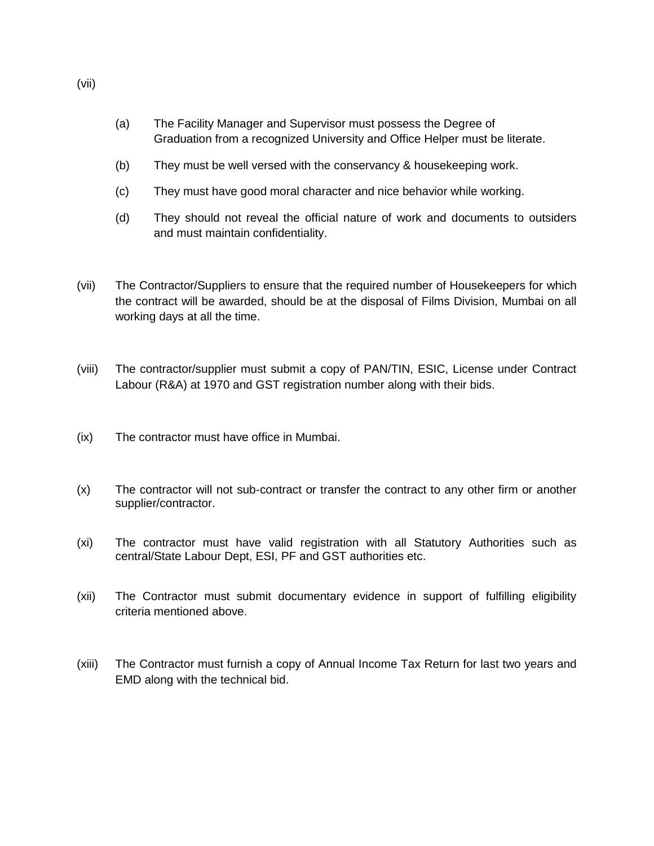- (a) The Facility Manager and Supervisor must possess the Degree of Graduation from a recognized University and Office Helper must be literate.
- (b) They must be well versed with the conservancy & housekeeping work.
- (c) They must have good moral character and nice behavior while working.
- (d) They should not reveal the official nature of work and documents to outsiders and must maintain confidentiality.
- (vii) The Contractor/Suppliers to ensure that the required number of Housekeepers for which the contract will be awarded, should be at the disposal of Films Division, Mumbai on all working days at all the time.
- (viii) The contractor/supplier must submit a copy of PAN/TIN, ESIC, License under Contract Labour (R&A) at 1970 and GST registration number along with their bids.
- (ix) The contractor must have office in Mumbai.
- (x) The contractor will not sub-contract or transfer the contract to any other firm or another supplier/contractor.
- (xi) The contractor must have valid registration with all Statutory Authorities such as central/State Labour Dept, ESI, PF and GST authorities etc.
- (xii) The Contractor must submit documentary evidence in support of fulfilling eligibility criteria mentioned above.
- (xiii) The Contractor must furnish a copy of Annual Income Tax Return for last two years and EMD along with the technical bid.

(vii)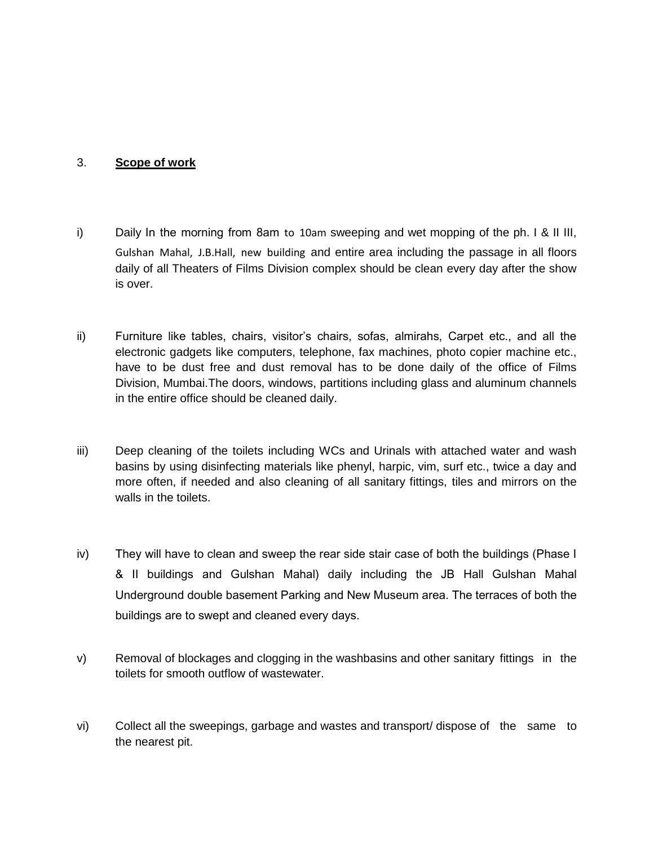### 3. **Scope of work**

- i) Daily In the morning from 8am to 10am sweeping and wet mopping of the ph. I & II III, Gulshan Mahal, J.B.Hall, new building and entire area including the passage in all floors daily of all Theaters of Films Division complex should be clean every day after the show is over.
- ii) Furniture like tables, chairs, visitor's chairs, sofas, almirahs, Carpet etc., and all the electronic gadgets like computers, telephone, fax machines, photo copier machine etc., have to be dust free and dust removal has to be done daily of the office of Films Division, Mumbai.The doors, windows, partitions including glass and aluminum channels in the entire office should be cleaned daily.
- iii) Deep cleaning of the toilets including WCs and Urinals with attached water and wash basins by using disinfecting materials like phenyl, harpic, vim, surf etc., twice a day and more often, if needed and also cleaning of all sanitary fittings, tiles and mirrors on the walls in the toilets.
- iv) They will have to clean and sweep the rear side stair case of both the buildings (Phase I & II buildings and Gulshan Mahal) daily including the JB Hall Gulshan Mahal Underground double basement Parking and New Museum area. The terraces of both the buildings are to swept and cleaned every days.
- v) Removal of blockages and clogging in the washbasins and other sanitary fittings in the toilets for smooth outflow of wastewater.
- vi) Collect all the sweepings, garbage and wastes and transport/ dispose of the same to the nearest pit.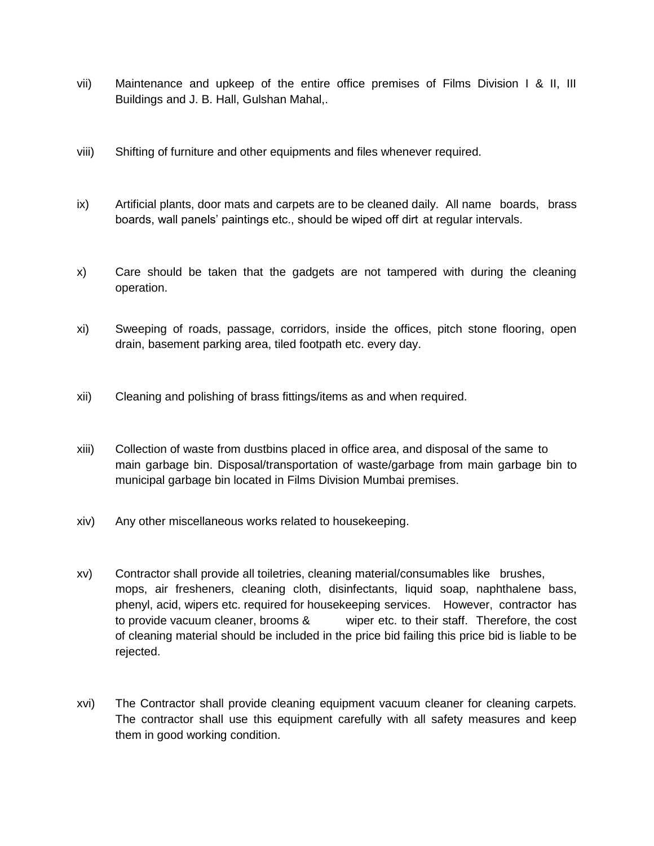- vii) Maintenance and upkeep of the entire office premises of Films Division I & II, III Buildings and J. B. Hall, Gulshan Mahal,.
- viii) Shifting of furniture and other equipments and files whenever required.
- ix) Artificial plants, door mats and carpets are to be cleaned daily. All name boards, brass boards, wall panels' paintings etc., should be wiped off dirt at regular intervals.
- x) Care should be taken that the gadgets are not tampered with during the cleaning operation.
- xi) Sweeping of roads, passage, corridors, inside the offices, pitch stone flooring, open drain, basement parking area, tiled footpath etc. every day.
- xii) Cleaning and polishing of brass fittings/items as and when required.
- xiii) Collection of waste from dustbins placed in office area, and disposal of the same to main garbage bin. Disposal/transportation of waste/garbage from main garbage bin to municipal garbage bin located in Films Division Mumbai premises.
- xiv) Any other miscellaneous works related to housekeeping.
- xv) Contractor shall provide all toiletries, cleaning material/consumables like brushes, mops, air fresheners, cleaning cloth, disinfectants, liquid soap, naphthalene bass, phenyl, acid, wipers etc. required for housekeeping services. However, contractor has to provide vacuum cleaner, brooms & wiper etc. to their staff. Therefore, the cost of cleaning material should be included in the price bid failing this price bid is liable to be rejected.
- xvi) The Contractor shall provide cleaning equipment vacuum cleaner for cleaning carpets. The contractor shall use this equipment carefully with all safety measures and keep them in good working condition.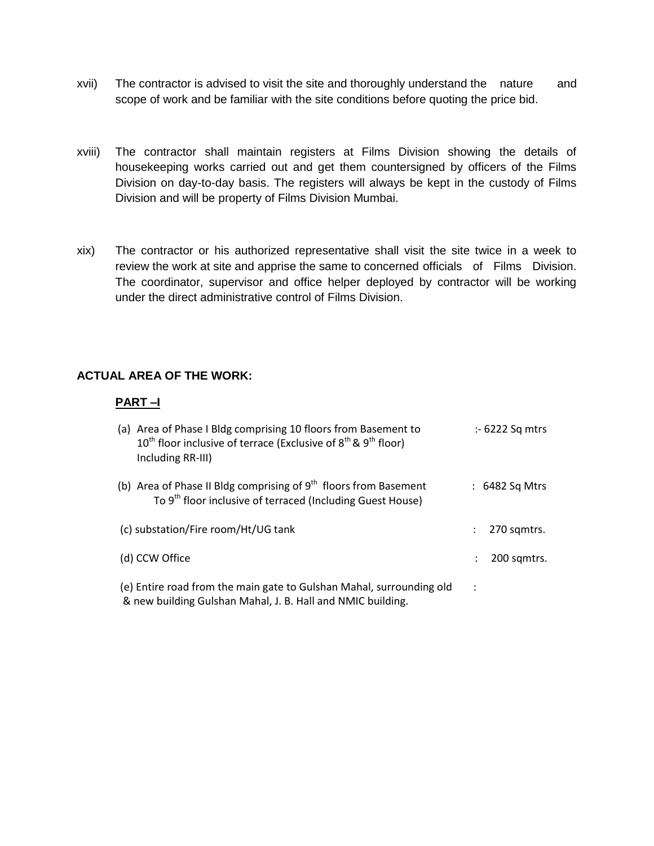- xvii) The contractor is advised to visit the site and thoroughly understand the nature and scope of work and be familiar with the site conditions before quoting the price bid.
- xviii) The contractor shall maintain registers at Films Division showing the details of housekeeping works carried out and get them countersigned by officers of the Films Division on day-to-day basis. The registers will always be kept in the custody of Films Division and will be property of Films Division Mumbai.
- xix) The contractor or his authorized representative shall visit the site twice in a week to review the work at site and apprise the same to concerned officials of Films Division. The coordinator, supervisor and office helper deployed by contractor will be working under the direct administrative control of Films Division.

### **ACTUAL AREA OF THE WORK:**

### **PART –I**

| (a) Area of Phase I Bldg comprising 10 floors from Basement to<br>$10^{\text{th}}$ floor inclusive of terrace (Exclusive of $8^{\text{th}}$ & $9^{\text{th}}$ floor)<br>Including RR-III) | $\div$ 6222 Sq mtrs |
|-------------------------------------------------------------------------------------------------------------------------------------------------------------------------------------------|---------------------|
| (b) Area of Phase II Bldg comprising of $9th$ floors from Basement<br>To 9 <sup>th</sup> floor inclusive of terraced (Including Guest House)                                              | $: 6482$ Sq Mtrs    |
| (c) substation/Fire room/Ht/UG tank                                                                                                                                                       | 270 samtrs.         |
| (d) CCW Office                                                                                                                                                                            | 200 sqmtrs.         |
| (e) Entire road from the main gate to Gulshan Mahal, surrounding old<br>& new building Gulshan Mahal, J. B. Hall and NMIC building.                                                       | ÷                   |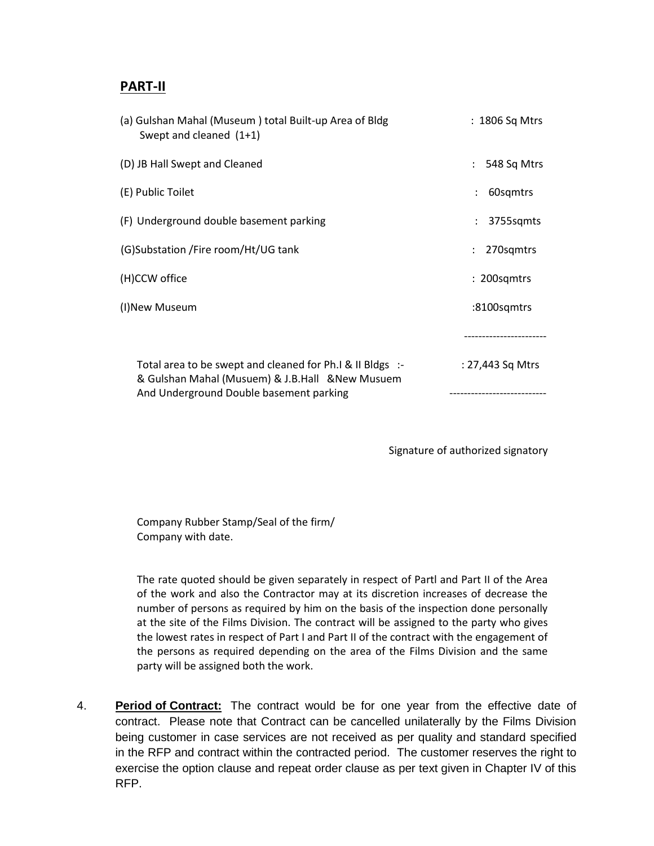# **PART-II**

| (a) Gulshan Mahal (Museum) total Built-up Area of Bldg<br>Swept and cleaned (1+1)                                                                        | : 1806 Sq Mtrs   |
|----------------------------------------------------------------------------------------------------------------------------------------------------------|------------------|
| (D) JB Hall Swept and Cleaned                                                                                                                            | 548 Sq Mtrs      |
| (E) Public Toilet                                                                                                                                        | 60sqmtrs         |
| (F) Underground double basement parking                                                                                                                  | 3755sqmts        |
| (G)Substation / Fire room/Ht/UG tank                                                                                                                     | 270sqmtrs        |
| (H)CCW office                                                                                                                                            | : 200sqmtrs      |
| (I)New Museum                                                                                                                                            | :8100sqmtrs      |
|                                                                                                                                                          |                  |
| Total area to be swept and cleaned for Ph.I & II BIdgs :-<br>& Gulshan Mahal (Musuem) & J.B.Hall & New Musuem<br>And Underground Double basement parking | : 27,443 Sq Mtrs |

Signature of authorized signatory

Company Rubber Stamp/Seal of the firm/ Company with date.

The rate quoted should be given separately in respect of Partl and Part II of the Area of the work and also the Contractor may at its discretion increases of decrease the number of persons as required by him on the basis of the inspection done personally at the site of the Films Division. The contract will be assigned to the party who gives the lowest rates in respect of Part I and Part II of the contract with the engagement of the persons as required depending on the area of the Films Division and the same party will be assigned both the work.

4. **Period of Contract:** The contract would be for one year from the effective date of contract. Please note that Contract can be cancelled unilaterally by the Films Division being customer in case services are not received as per quality and standard specified in the RFP and contract within the contracted period. The customer reserves the right to exercise the option clause and repeat order clause as per text given in Chapter IV of this RFP.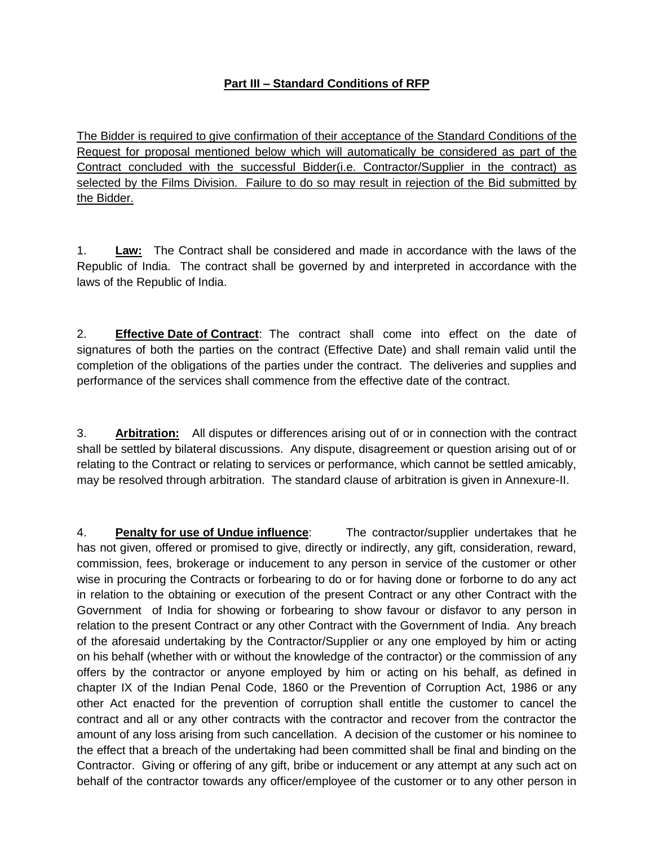# **Part III – Standard Conditions of RFP**

The Bidder is required to give confirmation of their acceptance of the Standard Conditions of the Request for proposal mentioned below which will automatically be considered as part of the Contract concluded with the successful Bidder(i.e. Contractor/Supplier in the contract) as selected by the Films Division. Failure to do so may result in rejection of the Bid submitted by the Bidder.

1. **Law:** The Contract shall be considered and made in accordance with the laws of the Republic of India. The contract shall be governed by and interpreted in accordance with the laws of the Republic of India.

2. **Effective Date of Contract**: The contract shall come into effect on the date of signatures of both the parties on the contract (Effective Date) and shall remain valid until the completion of the obligations of the parties under the contract. The deliveries and supplies and performance of the services shall commence from the effective date of the contract.

3. **Arbitration:** All disputes or differences arising out of or in connection with the contract shall be settled by bilateral discussions. Any dispute, disagreement or question arising out of or relating to the Contract or relating to services or performance, which cannot be settled amicably, may be resolved through arbitration. The standard clause of arbitration is given in Annexure-II.

4. **Penalty for use of Undue influence**: The contractor/supplier undertakes that he has not given, offered or promised to give, directly or indirectly, any gift, consideration, reward, commission, fees, brokerage or inducement to any person in service of the customer or other wise in procuring the Contracts or forbearing to do or for having done or forborne to do any act in relation to the obtaining or execution of the present Contract or any other Contract with the Government of India for showing or forbearing to show favour or disfavor to any person in relation to the present Contract or any other Contract with the Government of India. Any breach of the aforesaid undertaking by the Contractor/Supplier or any one employed by him or acting on his behalf (whether with or without the knowledge of the contractor) or the commission of any offers by the contractor or anyone employed by him or acting on his behalf, as defined in chapter IX of the Indian Penal Code, 1860 or the Prevention of Corruption Act, 1986 or any other Act enacted for the prevention of corruption shall entitle the customer to cancel the contract and all or any other contracts with the contractor and recover from the contractor the amount of any loss arising from such cancellation. A decision of the customer or his nominee to the effect that a breach of the undertaking had been committed shall be final and binding on the Contractor. Giving or offering of any gift, bribe or inducement or any attempt at any such act on behalf of the contractor towards any officer/employee of the customer or to any other person in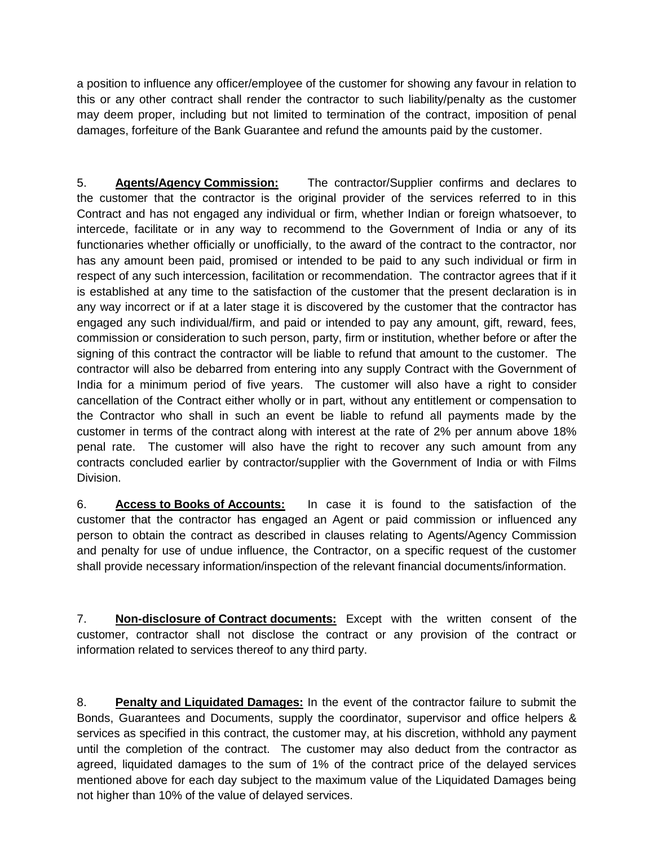a position to influence any officer/employee of the customer for showing any favour in relation to this or any other contract shall render the contractor to such liability/penalty as the customer may deem proper, including but not limited to termination of the contract, imposition of penal damages, forfeiture of the Bank Guarantee and refund the amounts paid by the customer.

5. **Agents/Agency Commission:** The contractor/Supplier confirms and declares to the customer that the contractor is the original provider of the services referred to in this Contract and has not engaged any individual or firm, whether Indian or foreign whatsoever, to intercede, facilitate or in any way to recommend to the Government of India or any of its functionaries whether officially or unofficially, to the award of the contract to the contractor, nor has any amount been paid, promised or intended to be paid to any such individual or firm in respect of any such intercession, facilitation or recommendation. The contractor agrees that if it is established at any time to the satisfaction of the customer that the present declaration is in any way incorrect or if at a later stage it is discovered by the customer that the contractor has engaged any such individual/firm, and paid or intended to pay any amount, gift, reward, fees, commission or consideration to such person, party, firm or institution, whether before or after the signing of this contract the contractor will be liable to refund that amount to the customer. The contractor will also be debarred from entering into any supply Contract with the Government of India for a minimum period of five years. The customer will also have a right to consider cancellation of the Contract either wholly or in part, without any entitlement or compensation to the Contractor who shall in such an event be liable to refund all payments made by the customer in terms of the contract along with interest at the rate of 2% per annum above 18% penal rate. The customer will also have the right to recover any such amount from any contracts concluded earlier by contractor/supplier with the Government of India or with Films Division.

6. **Access to Books of Accounts:** In case it is found to the satisfaction of the customer that the contractor has engaged an Agent or paid commission or influenced any person to obtain the contract as described in clauses relating to Agents/Agency Commission and penalty for use of undue influence, the Contractor, on a specific request of the customer shall provide necessary information/inspection of the relevant financial documents/information.

7. **Non-disclosure of Contract documents:** Except with the written consent of the customer, contractor shall not disclose the contract or any provision of the contract or information related to services thereof to any third party.

8. **Penalty and Liquidated Damages:** In the event of the contractor failure to submit the Bonds, Guarantees and Documents, supply the coordinator, supervisor and office helpers & services as specified in this contract, the customer may, at his discretion, withhold any payment until the completion of the contract. The customer may also deduct from the contractor as agreed, liquidated damages to the sum of 1% of the contract price of the delayed services mentioned above for each day subject to the maximum value of the Liquidated Damages being not higher than 10% of the value of delayed services.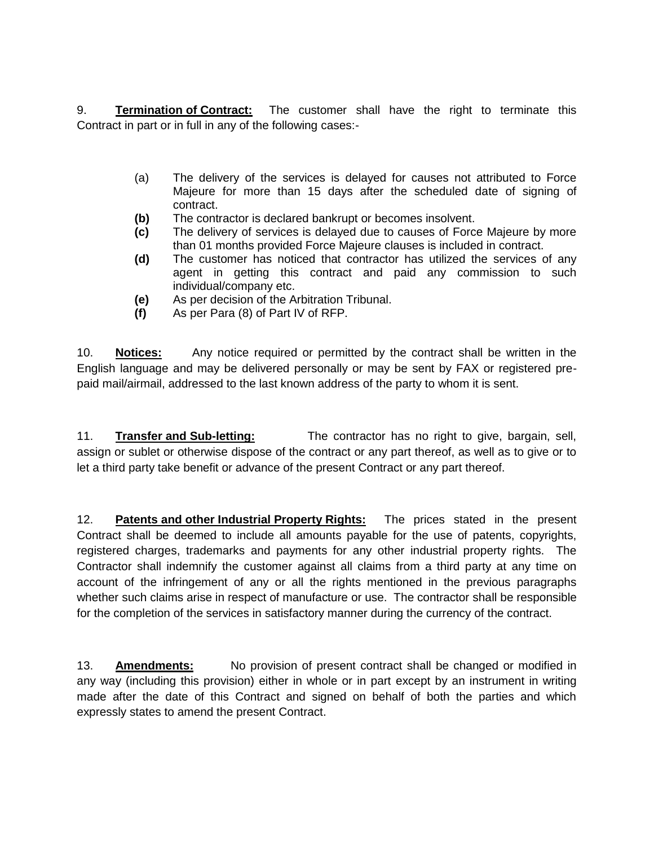9. **Termination of Contract:** The customer shall have the right to terminate this Contract in part or in full in any of the following cases:-

- (a) The delivery of the services is delayed for causes not attributed to Force Majeure for more than 15 days after the scheduled date of signing of contract.
- **(b)** The contractor is declared bankrupt or becomes insolvent.
- **(c)** The delivery of services is delayed due to causes of Force Majeure by more than 01 months provided Force Majeure clauses is included in contract.
- **(d)** The customer has noticed that contractor has utilized the services of any agent in getting this contract and paid any commission to such individual/company etc.
- **(e)** As per decision of the Arbitration Tribunal.
- **(f)** As per Para (8) of Part IV of RFP.

10. **Notices:** Any notice required or permitted by the contract shall be written in the English language and may be delivered personally or may be sent by FAX or registered prepaid mail/airmail, addressed to the last known address of the party to whom it is sent.

11. **Transfer and Sub-letting:** The contractor has no right to give, bargain, sell, assign or sublet or otherwise dispose of the contract or any part thereof, as well as to give or to let a third party take benefit or advance of the present Contract or any part thereof.

12. **Patents and other Industrial Property Rights:** The prices stated in the present Contract shall be deemed to include all amounts payable for the use of patents, copyrights, registered charges, trademarks and payments for any other industrial property rights. The Contractor shall indemnify the customer against all claims from a third party at any time on account of the infringement of any or all the rights mentioned in the previous paragraphs whether such claims arise in respect of manufacture or use. The contractor shall be responsible for the completion of the services in satisfactory manner during the currency of the contract.

13. **Amendments:** No provision of present contract shall be changed or modified in any way (including this provision) either in whole or in part except by an instrument in writing made after the date of this Contract and signed on behalf of both the parties and which expressly states to amend the present Contract.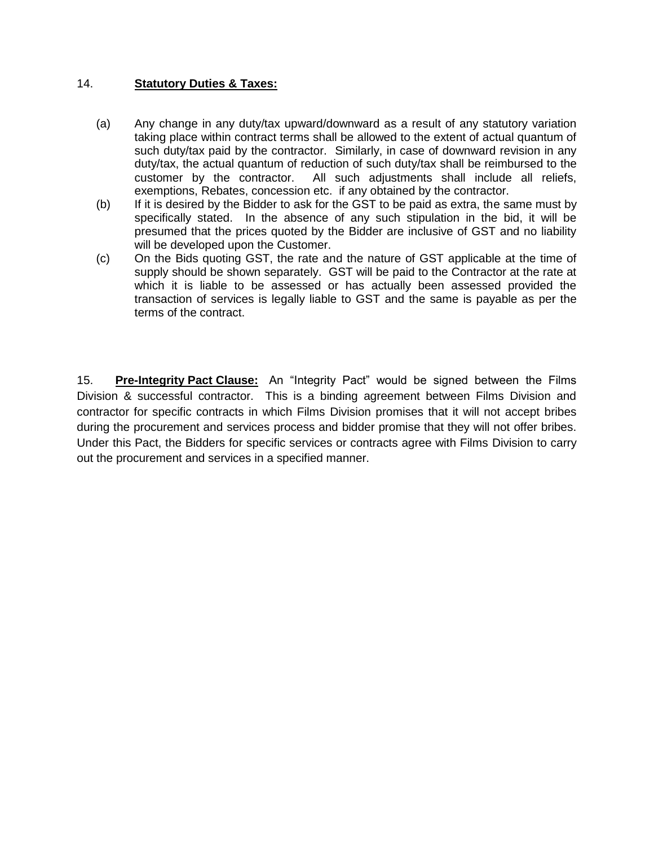### 14. **Statutory Duties & Taxes:**

- (a) Any change in any duty/tax upward/downward as a result of any statutory variation taking place within contract terms shall be allowed to the extent of actual quantum of such duty/tax paid by the contractor. Similarly, in case of downward revision in any duty/tax, the actual quantum of reduction of such duty/tax shall be reimbursed to the customer by the contractor. All such adjustments shall include all reliefs, exemptions, Rebates, concession etc. if any obtained by the contractor.
- (b) If it is desired by the Bidder to ask for the GST to be paid as extra, the same must by specifically stated. In the absence of any such stipulation in the bid, it will be presumed that the prices quoted by the Bidder are inclusive of GST and no liability will be developed upon the Customer.
- (c) On the Bids quoting GST, the rate and the nature of GST applicable at the time of supply should be shown separately. GST will be paid to the Contractor at the rate at which it is liable to be assessed or has actually been assessed provided the transaction of services is legally liable to GST and the same is payable as per the terms of the contract.

15. **Pre-Integrity Pact Clause:** An "Integrity Pact" would be signed between the Films Division & successful contractor. This is a binding agreement between Films Division and contractor for specific contracts in which Films Division promises that it will not accept bribes during the procurement and services process and bidder promise that they will not offer bribes. Under this Pact, the Bidders for specific services or contracts agree with Films Division to carry out the procurement and services in a specified manner.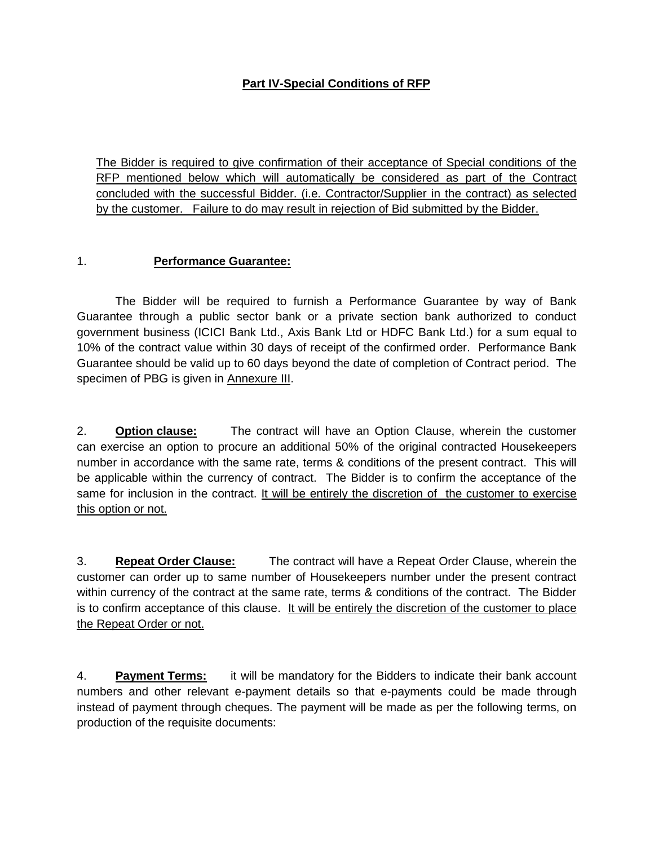# **Part IV-Special Conditions of RFP**

The Bidder is required to give confirmation of their acceptance of Special conditions of the RFP mentioned below which will automatically be considered as part of the Contract concluded with the successful Bidder. (i.e. Contractor/Supplier in the contract) as selected by the customer. Failure to do may result in rejection of Bid submitted by the Bidder.

### 1. **Performance Guarantee:**

The Bidder will be required to furnish a Performance Guarantee by way of Bank Guarantee through a public sector bank or a private section bank authorized to conduct government business (ICICI Bank Ltd., Axis Bank Ltd or HDFC Bank Ltd.) for a sum equal to 10% of the contract value within 30 days of receipt of the confirmed order. Performance Bank Guarantee should be valid up to 60 days beyond the date of completion of Contract period. The specimen of PBG is given in Annexure III.

2. **Option clause:** The contract will have an Option Clause, wherein the customer can exercise an option to procure an additional 50% of the original contracted Housekeepers number in accordance with the same rate, terms & conditions of the present contract. This will be applicable within the currency of contract. The Bidder is to confirm the acceptance of the same for inclusion in the contract. It will be entirely the discretion of the customer to exercise this option or not.

3. **Repeat Order Clause:** The contract will have a Repeat Order Clause, wherein the customer can order up to same number of Housekeepers number under the present contract within currency of the contract at the same rate, terms & conditions of the contract. The Bidder is to confirm acceptance of this clause. It will be entirely the discretion of the customer to place the Repeat Order or not.

4. **Payment Terms:** it will be mandatory for the Bidders to indicate their bank account numbers and other relevant e-payment details so that e-payments could be made through instead of payment through cheques. The payment will be made as per the following terms, on production of the requisite documents: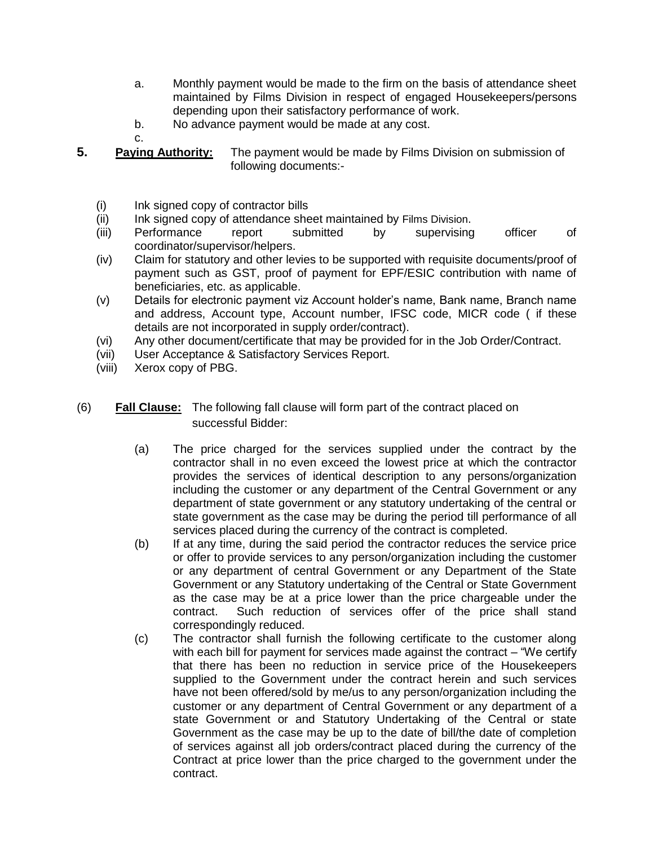- a. Monthly payment would be made to the firm on the basis of attendance sheet maintained by Films Division in respect of engaged Housekeepers/persons depending upon their satisfactory performance of work.
- b. No advance payment would be made at any cost.
- **5. Paying Authority:** The payment would be made by Films Division on submission of following documents:-
	- (i) Ink signed copy of contractor bills
	- (ii) Ink signed copy of attendance sheet maintained by Films Division.
	- (iii) Performance report submitted by supervising officer of coordinator/supervisor/helpers.
	- (iv) Claim for statutory and other levies to be supported with requisite documents/proof of payment such as GST, proof of payment for EPF/ESIC contribution with name of beneficiaries, etc. as applicable.
	- (v) Details for electronic payment viz Account holder's name, Bank name, Branch name and address, Account type, Account number, IFSC code, MICR code ( if these details are not incorporated in supply order/contract).
	- (vi) Any other document/certificate that may be provided for in the Job Order/Contract.
	- (vii) User Acceptance & Satisfactory Services Report.
	- (viii) Xerox copy of PBG.

c.

- (6) **Fall Clause:** The following fall clause will form part of the contract placed on successful Bidder:
	- (a) The price charged for the services supplied under the contract by the contractor shall in no even exceed the lowest price at which the contractor provides the services of identical description to any persons/organization including the customer or any department of the Central Government or any department of state government or any statutory undertaking of the central or state government as the case may be during the period till performance of all services placed during the currency of the contract is completed.
	- (b) If at any time, during the said period the contractor reduces the service price or offer to provide services to any person/organization including the customer or any department of central Government or any Department of the State Government or any Statutory undertaking of the Central or State Government as the case may be at a price lower than the price chargeable under the contract. Such reduction of services offer of the price shall stand correspondingly reduced.
	- (c) The contractor shall furnish the following certificate to the customer along with each bill for payment for services made against the contract – "We certify that there has been no reduction in service price of the Housekeepers supplied to the Government under the contract herein and such services have not been offered/sold by me/us to any person/organization including the customer or any department of Central Government or any department of a state Government or and Statutory Undertaking of the Central or state Government as the case may be up to the date of bill/the date of completion of services against all job orders/contract placed during the currency of the Contract at price lower than the price charged to the government under the contract.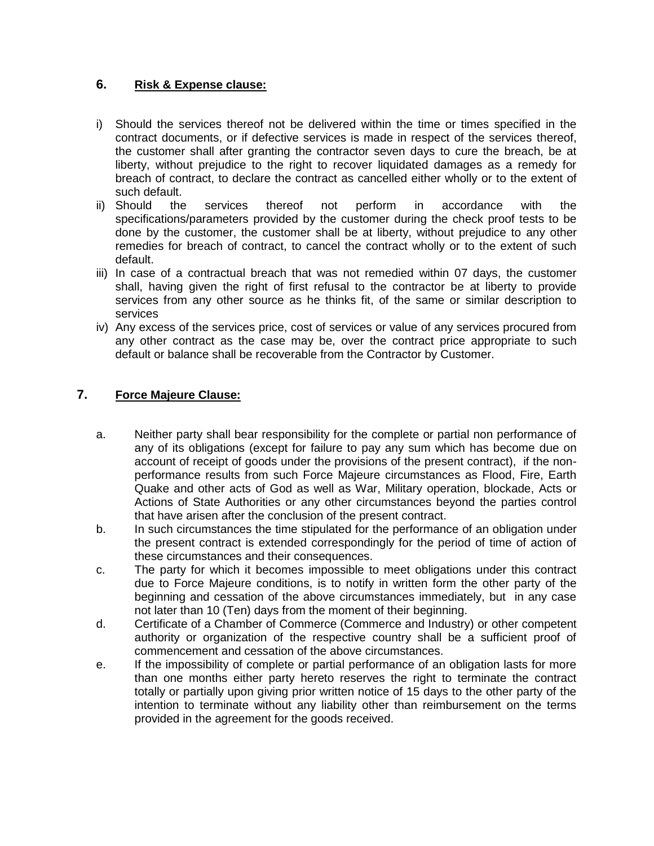### **6. Risk & Expense clause:**

- i) Should the services thereof not be delivered within the time or times specified in the contract documents, or if defective services is made in respect of the services thereof, the customer shall after granting the contractor seven days to cure the breach, be at liberty, without prejudice to the right to recover liquidated damages as a remedy for breach of contract, to declare the contract as cancelled either wholly or to the extent of such default.
- ii) Should the services thereof not perform in accordance with the specifications/parameters provided by the customer during the check proof tests to be done by the customer, the customer shall be at liberty, without prejudice to any other remedies for breach of contract, to cancel the contract wholly or to the extent of such default.
- iii) In case of a contractual breach that was not remedied within 07 days, the customer shall, having given the right of first refusal to the contractor be at liberty to provide services from any other source as he thinks fit, of the same or similar description to services
- iv) Any excess of the services price, cost of services or value of any services procured from any other contract as the case may be, over the contract price appropriate to such default or balance shall be recoverable from the Contractor by Customer.

# **7. Force Majeure Clause:**

- a. Neither party shall bear responsibility for the complete or partial non performance of any of its obligations (except for failure to pay any sum which has become due on account of receipt of goods under the provisions of the present contract), if the nonperformance results from such Force Majeure circumstances as Flood, Fire, Earth Quake and other acts of God as well as War, Military operation, blockade, Acts or Actions of State Authorities or any other circumstances beyond the parties control that have arisen after the conclusion of the present contract.
- b. In such circumstances the time stipulated for the performance of an obligation under the present contract is extended correspondingly for the period of time of action of these circumstances and their consequences.
- c. The party for which it becomes impossible to meet obligations under this contract due to Force Majeure conditions, is to notify in written form the other party of the beginning and cessation of the above circumstances immediately, but in any case not later than 10 (Ten) days from the moment of their beginning.
- d. Certificate of a Chamber of Commerce (Commerce and Industry) or other competent authority or organization of the respective country shall be a sufficient proof of commencement and cessation of the above circumstances.
- e. If the impossibility of complete or partial performance of an obligation lasts for more than one months either party hereto reserves the right to terminate the contract totally or partially upon giving prior written notice of 15 days to the other party of the intention to terminate without any liability other than reimbursement on the terms provided in the agreement for the goods received.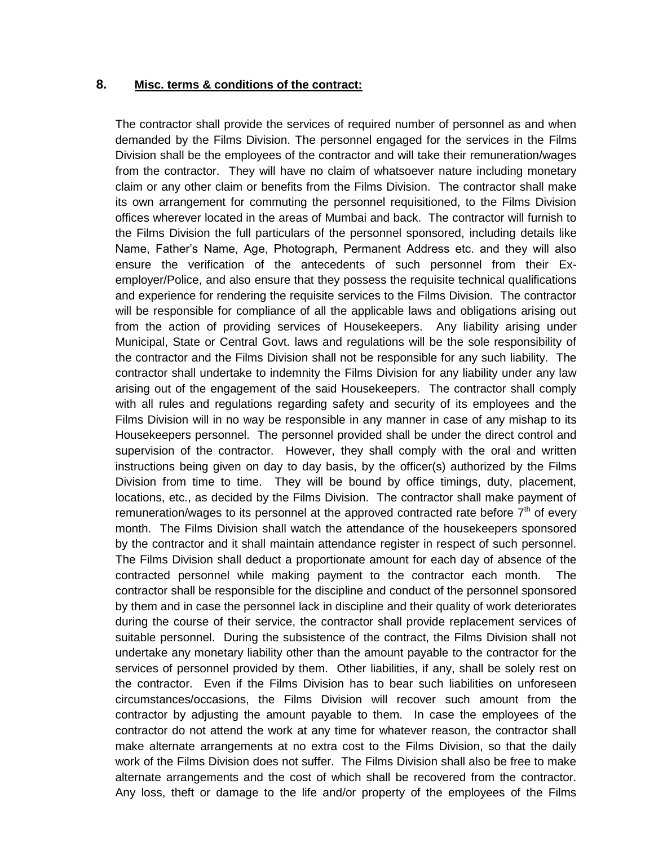### **8. Misc. terms & conditions of the contract:**

The contractor shall provide the services of required number of personnel as and when demanded by the Films Division. The personnel engaged for the services in the Films Division shall be the employees of the contractor and will take their remuneration/wages from the contractor. They will have no claim of whatsoever nature including monetary claim or any other claim or benefits from the Films Division. The contractor shall make its own arrangement for commuting the personnel requisitioned, to the Films Division offices wherever located in the areas of Mumbai and back. The contractor will furnish to the Films Division the full particulars of the personnel sponsored, including details like Name, Father's Name, Age, Photograph, Permanent Address etc. and they will also ensure the verification of the antecedents of such personnel from their Exemployer/Police, and also ensure that they possess the requisite technical qualifications and experience for rendering the requisite services to the Films Division. The contractor will be responsible for compliance of all the applicable laws and obligations arising out from the action of providing services of Housekeepers. Any liability arising under Municipal, State or Central Govt. laws and regulations will be the sole responsibility of the contractor and the Films Division shall not be responsible for any such liability. The contractor shall undertake to indemnity the Films Division for any liability under any law arising out of the engagement of the said Housekeepers. The contractor shall comply with all rules and regulations regarding safety and security of its employees and the Films Division will in no way be responsible in any manner in case of any mishap to its Housekeepers personnel. The personnel provided shall be under the direct control and supervision of the contractor. However, they shall comply with the oral and written instructions being given on day to day basis, by the officer(s) authorized by the Films Division from time to time. They will be bound by office timings, duty, placement, locations, etc., as decided by the Films Division. The contractor shall make payment of remuneration/wages to its personnel at the approved contracted rate before  $7<sup>th</sup>$  of every month. The Films Division shall watch the attendance of the housekeepers sponsored by the contractor and it shall maintain attendance register in respect of such personnel. The Films Division shall deduct a proportionate amount for each day of absence of the contracted personnel while making payment to the contractor each month. The contractor shall be responsible for the discipline and conduct of the personnel sponsored by them and in case the personnel lack in discipline and their quality of work deteriorates during the course of their service, the contractor shall provide replacement services of suitable personnel. During the subsistence of the contract, the Films Division shall not undertake any monetary liability other than the amount payable to the contractor for the services of personnel provided by them. Other liabilities, if any, shall be solely rest on the contractor. Even if the Films Division has to bear such liabilities on unforeseen circumstances/occasions, the Films Division will recover such amount from the contractor by adjusting the amount payable to them. In case the employees of the contractor do not attend the work at any time for whatever reason, the contractor shall make alternate arrangements at no extra cost to the Films Division, so that the daily work of the Films Division does not suffer. The Films Division shall also be free to make alternate arrangements and the cost of which shall be recovered from the contractor. Any loss, theft or damage to the life and/or property of the employees of the Films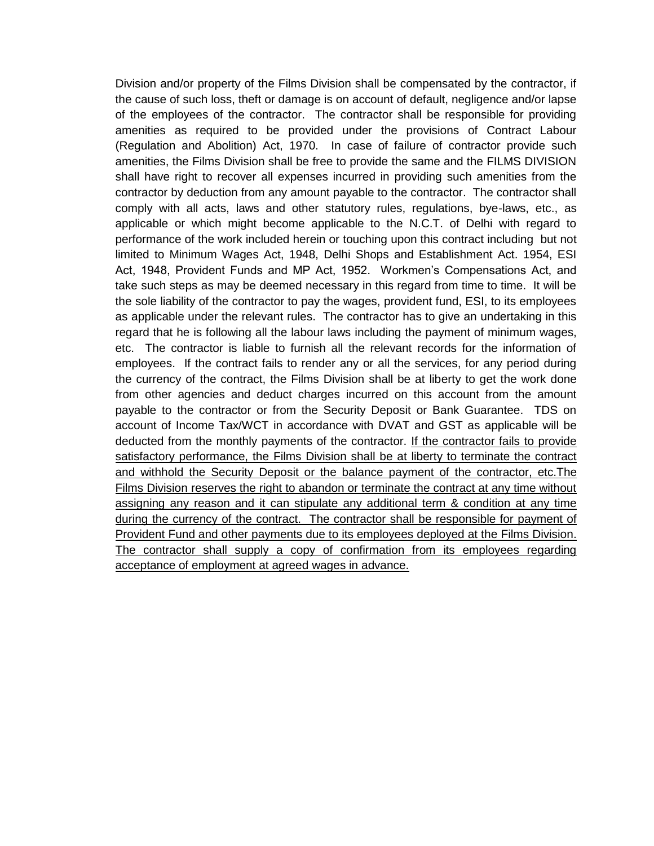Division and/or property of the Films Division shall be compensated by the contractor, if the cause of such loss, theft or damage is on account of default, negligence and/or lapse of the employees of the contractor. The contractor shall be responsible for providing amenities as required to be provided under the provisions of Contract Labour (Regulation and Abolition) Act, 1970. In case of failure of contractor provide such amenities, the Films Division shall be free to provide the same and the FILMS DIVISION shall have right to recover all expenses incurred in providing such amenities from the contractor by deduction from any amount payable to the contractor. The contractor shall comply with all acts, laws and other statutory rules, regulations, bye-laws, etc., as applicable or which might become applicable to the N.C.T. of Delhi with regard to performance of the work included herein or touching upon this contract including but not limited to Minimum Wages Act, 1948, Delhi Shops and Establishment Act. 1954, ESI Act, 1948, Provident Funds and MP Act, 1952. Workmen's Compensations Act, and take such steps as may be deemed necessary in this regard from time to time. It will be the sole liability of the contractor to pay the wages, provident fund, ESI, to its employees as applicable under the relevant rules. The contractor has to give an undertaking in this regard that he is following all the labour laws including the payment of minimum wages, etc. The contractor is liable to furnish all the relevant records for the information of employees. If the contract fails to render any or all the services, for any period during the currency of the contract, the Films Division shall be at liberty to get the work done from other agencies and deduct charges incurred on this account from the amount payable to the contractor or from the Security Deposit or Bank Guarantee. TDS on account of Income Tax/WCT in accordance with DVAT and GST as applicable will be deducted from the monthly payments of the contractor. If the contractor fails to provide satisfactory performance, the Films Division shall be at liberty to terminate the contract and withhold the Security Deposit or the balance payment of the contractor, etc. The Films Division reserves the right to abandon or terminate the contract at any time without assigning any reason and it can stipulate any additional term & condition at any time during the currency of the contract. The contractor shall be responsible for payment of Provident Fund and other payments due to its employees deployed at the Films Division. The contractor shall supply a copy of confirmation from its employees regarding acceptance of employment at agreed wages in advance.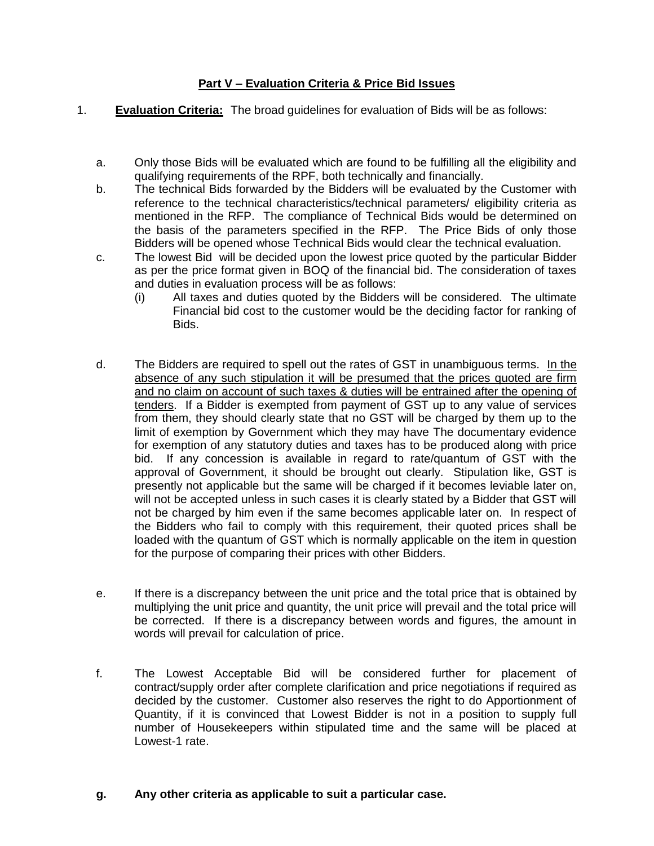### **Part V – Evaluation Criteria & Price Bid Issues**

- 1. **Evaluation Criteria:** The broad guidelines for evaluation of Bids will be as follows:
	- a. Only those Bids will be evaluated which are found to be fulfilling all the eligibility and qualifying requirements of the RPF, both technically and financially.
	- b. The technical Bids forwarded by the Bidders will be evaluated by the Customer with reference to the technical characteristics/technical parameters/ eligibility criteria as mentioned in the RFP. The compliance of Technical Bids would be determined on the basis of the parameters specified in the RFP. The Price Bids of only those Bidders will be opened whose Technical Bids would clear the technical evaluation.
	- c. The lowest Bid will be decided upon the lowest price quoted by the particular Bidder as per the price format given in BOQ of the financial bid. The consideration of taxes and duties in evaluation process will be as follows:
		- (i) All taxes and duties quoted by the Bidders will be considered. The ultimate Financial bid cost to the customer would be the deciding factor for ranking of Bids.
	- d. The Bidders are required to spell out the rates of GST in unambiguous terms. In the absence of any such stipulation it will be presumed that the prices quoted are firm and no claim on account of such taxes & duties will be entrained after the opening of tenders. If a Bidder is exempted from payment of GST up to any value of services from them, they should clearly state that no GST will be charged by them up to the limit of exemption by Government which they may have The documentary evidence for exemption of any statutory duties and taxes has to be produced along with price bid. If any concession is available in regard to rate/quantum of GST with the approval of Government, it should be brought out clearly. Stipulation like, GST is presently not applicable but the same will be charged if it becomes leviable later on, will not be accepted unless in such cases it is clearly stated by a Bidder that GST will not be charged by him even if the same becomes applicable later on. In respect of the Bidders who fail to comply with this requirement, their quoted prices shall be loaded with the quantum of GST which is normally applicable on the item in question for the purpose of comparing their prices with other Bidders.
	- e. If there is a discrepancy between the unit price and the total price that is obtained by multiplying the unit price and quantity, the unit price will prevail and the total price will be corrected. If there is a discrepancy between words and figures, the amount in words will prevail for calculation of price.
	- f. The Lowest Acceptable Bid will be considered further for placement of contract/supply order after complete clarification and price negotiations if required as decided by the customer. Customer also reserves the right to do Apportionment of Quantity, if it is convinced that Lowest Bidder is not in a position to supply full number of Housekeepers within stipulated time and the same will be placed at Lowest-1 rate.

### **g. Any other criteria as applicable to suit a particular case.**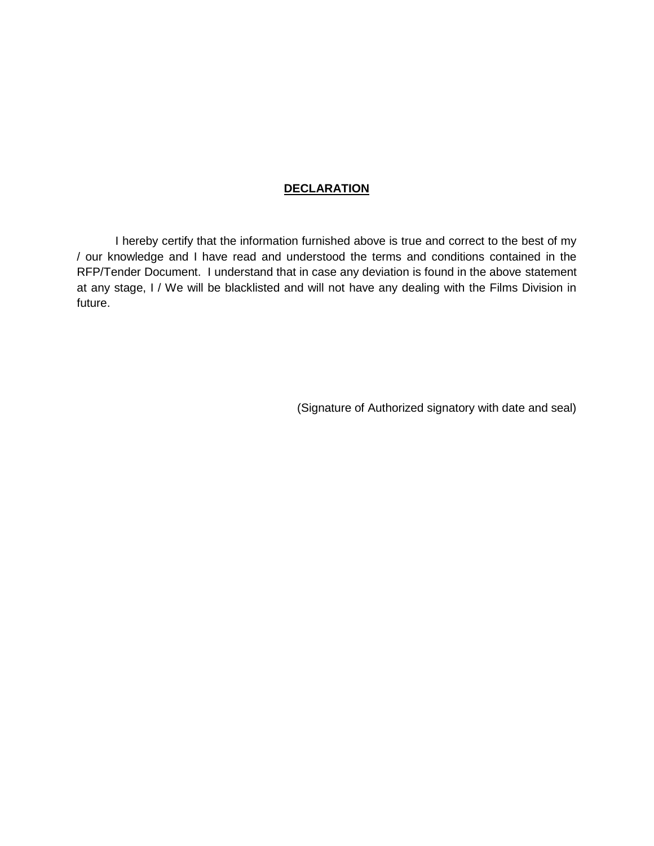### **DECLARATION**

I hereby certify that the information furnished above is true and correct to the best of my / our knowledge and I have read and understood the terms and conditions contained in the RFP/Tender Document. I understand that in case any deviation is found in the above statement at any stage, I / We will be blacklisted and will not have any dealing with the Films Division in future.

(Signature of Authorized signatory with date and seal)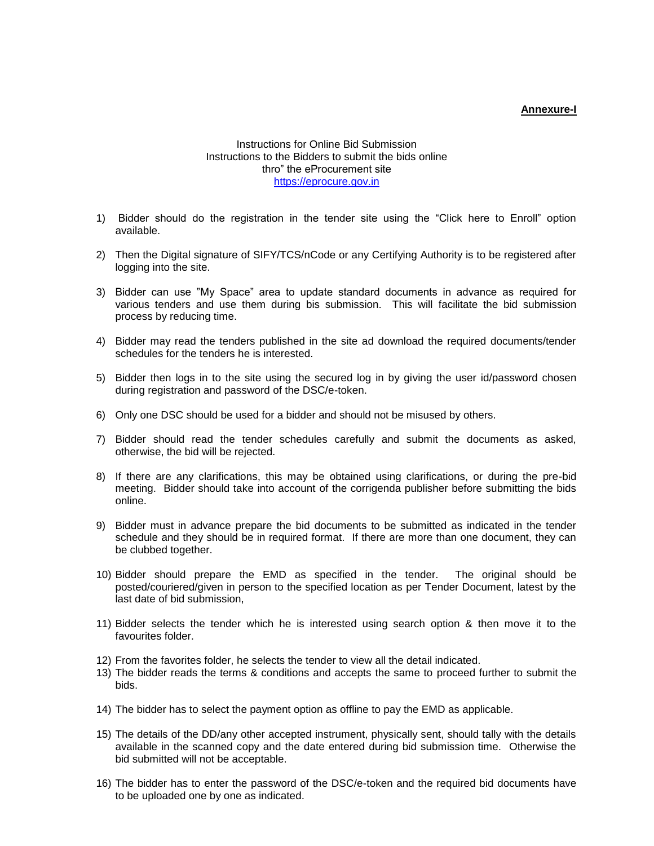#### **Annexure-I**

#### Instructions for Online Bid Submission Instructions to the Bidders to submit the bids online thro" the eProcurement site [https://eprocure.gov.in](https://eprocure.gov.in/)

- 1) Bidder should do the registration in the tender site using the "Click here to Enroll" option available.
- 2) Then the Digital signature of SIFY/TCS/nCode or any Certifying Authority is to be registered after logging into the site.
- 3) Bidder can use "My Space" area to update standard documents in advance as required for various tenders and use them during bis submission. This will facilitate the bid submission process by reducing time.
- 4) Bidder may read the tenders published in the site ad download the required documents/tender schedules for the tenders he is interested.
- 5) Bidder then logs in to the site using the secured log in by giving the user id/password chosen during registration and password of the DSC/e-token.
- 6) Only one DSC should be used for a bidder and should not be misused by others.
- 7) Bidder should read the tender schedules carefully and submit the documents as asked, otherwise, the bid will be rejected.
- 8) If there are any clarifications, this may be obtained using clarifications, or during the pre-bid meeting. Bidder should take into account of the corrigenda publisher before submitting the bids online.
- 9) Bidder must in advance prepare the bid documents to be submitted as indicated in the tender schedule and they should be in required format. If there are more than one document, they can be clubbed together.
- 10) Bidder should prepare the EMD as specified in the tender. The original should be posted/couriered/given in person to the specified location as per Tender Document, latest by the last date of bid submission,
- 11) Bidder selects the tender which he is interested using search option & then move it to the favourites folder.
- 12) From the favorites folder, he selects the tender to view all the detail indicated.
- 13) The bidder reads the terms & conditions and accepts the same to proceed further to submit the bids.
- 14) The bidder has to select the payment option as offline to pay the EMD as applicable.
- 15) The details of the DD/any other accepted instrument, physically sent, should tally with the details available in the scanned copy and the date entered during bid submission time. Otherwise the bid submitted will not be acceptable.
- 16) The bidder has to enter the password of the DSC/e-token and the required bid documents have to be uploaded one by one as indicated.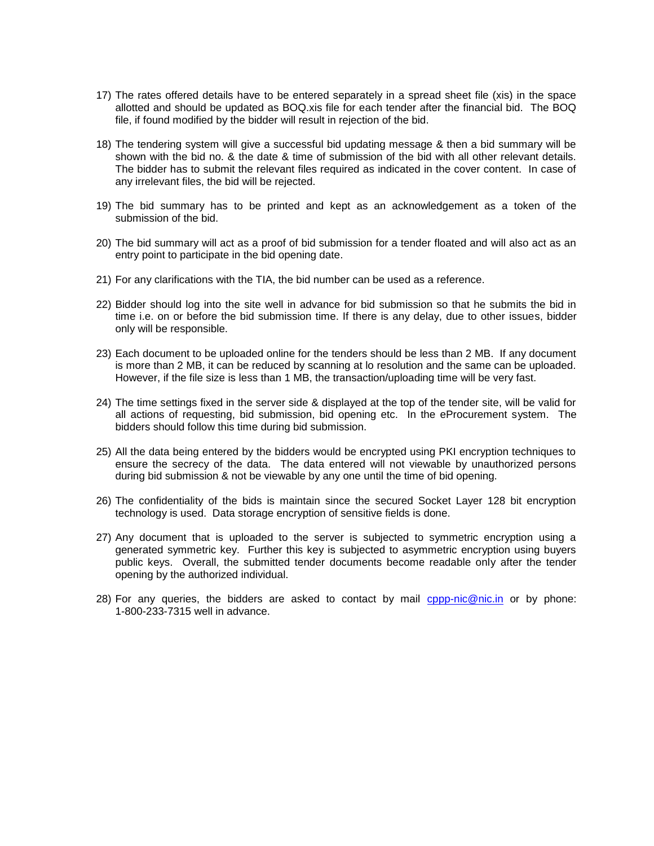- 17) The rates offered details have to be entered separately in a spread sheet file (xis) in the space allotted and should be updated as BOQ.xis file for each tender after the financial bid. The BOQ file, if found modified by the bidder will result in rejection of the bid.
- 18) The tendering system will give a successful bid updating message & then a bid summary will be shown with the bid no. & the date & time of submission of the bid with all other relevant details. The bidder has to submit the relevant files required as indicated in the cover content. In case of any irrelevant files, the bid will be rejected.
- 19) The bid summary has to be printed and kept as an acknowledgement as a token of the submission of the bid.
- 20) The bid summary will act as a proof of bid submission for a tender floated and will also act as an entry point to participate in the bid opening date.
- 21) For any clarifications with the TIA, the bid number can be used as a reference.
- 22) Bidder should log into the site well in advance for bid submission so that he submits the bid in time i.e. on or before the bid submission time. If there is any delay, due to other issues, bidder only will be responsible.
- 23) Each document to be uploaded online for the tenders should be less than 2 MB. If any document is more than 2 MB, it can be reduced by scanning at lo resolution and the same can be uploaded. However, if the file size is less than 1 MB, the transaction/uploading time will be very fast.
- 24) The time settings fixed in the server side & displayed at the top of the tender site, will be valid for all actions of requesting, bid submission, bid opening etc. In the eProcurement system. The bidders should follow this time during bid submission.
- 25) All the data being entered by the bidders would be encrypted using PKI encryption techniques to ensure the secrecy of the data. The data entered will not viewable by unauthorized persons during bid submission & not be viewable by any one until the time of bid opening.
- 26) The confidentiality of the bids is maintain since the secured Socket Layer 128 bit encryption technology is used. Data storage encryption of sensitive fields is done.
- 27) Any document that is uploaded to the server is subjected to symmetric encryption using a generated symmetric key. Further this key is subjected to asymmetric encryption using buyers public keys. Overall, the submitted tender documents become readable only after the tender opening by the authorized individual.
- 28) For any queries, the bidders are asked to contact by mail [cppp-nic@nic.in](mailto:cppp-nic@nic.in) or by phone: 1-800-233-7315 well in advance.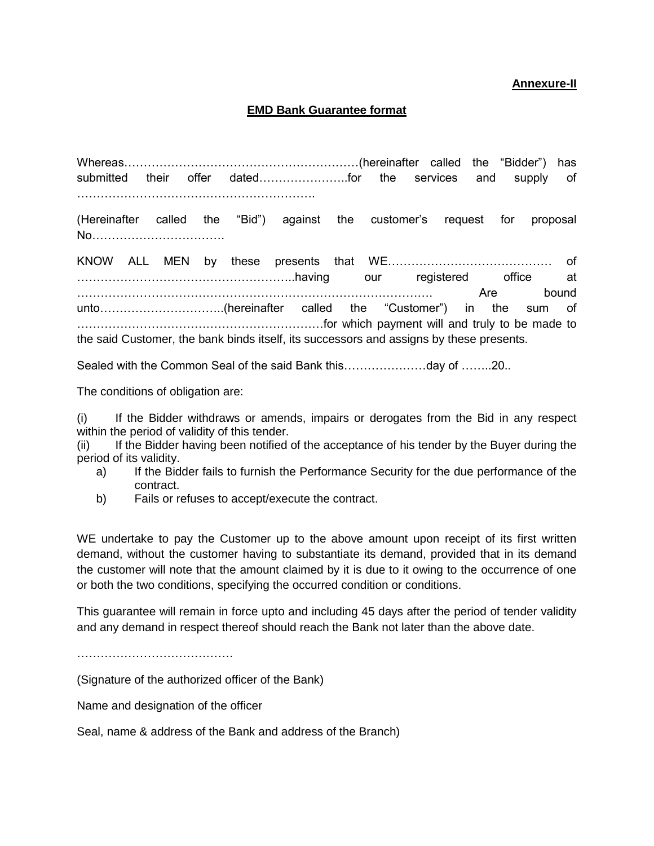#### **Annexure-II**

### **EMD Bank Guarantee format**

Whereas……………………………………………………(hereinafter called the "Bidder") has submitted their offer dated…………………..for the services and supply of …………………………………………………….

(Hereinafter called the "Bid") against the customer's request for proposal No…………………………….

KNOW ALL MEN by these presents that WE…………………………………… of ………………………………………………..having our registered office at ………………………………………………………………………………. Are bound unto…………………………..(hereinafter called the "Customer") in the sum of ………………………………………………………for which payment will and truly to be made to the said Customer, the bank binds itself, its successors and assigns by these presents.

Sealed with the Common Seal of the said Bank this…………………day of ……..20..

The conditions of obligation are:

(i) If the Bidder withdraws or amends, impairs or derogates from the Bid in any respect within the period of validity of this tender.

(ii) If the Bidder having been notified of the acceptance of his tender by the Buyer during the period of its validity.

- a) If the Bidder fails to furnish the Performance Security for the due performance of the contract.
- b) Fails or refuses to accept/execute the contract.

WE undertake to pay the Customer up to the above amount upon receipt of its first written demand, without the customer having to substantiate its demand, provided that in its demand the customer will note that the amount claimed by it is due to it owing to the occurrence of one or both the two conditions, specifying the occurred condition or conditions.

This guarantee will remain in force upto and including 45 days after the period of tender validity and any demand in respect thereof should reach the Bank not later than the above date.

………………………………………………

(Signature of the authorized officer of the Bank)

Name and designation of the officer

Seal, name & address of the Bank and address of the Branch)